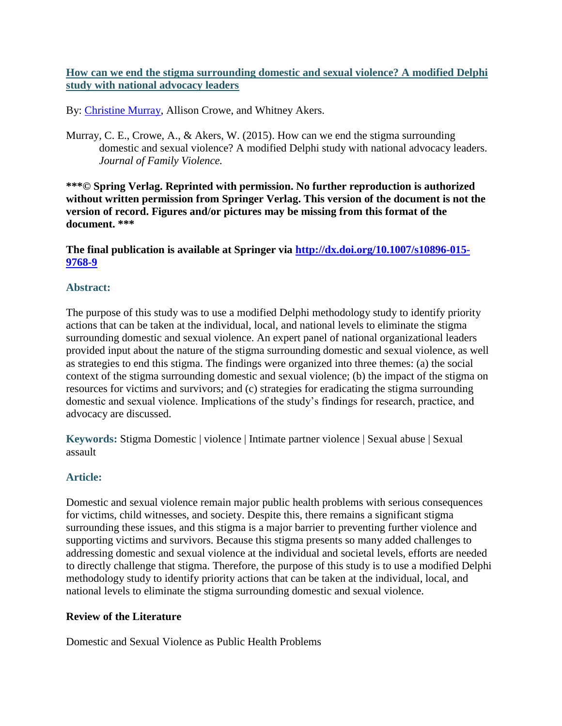**How can we end the stigma surrounding domestic and sexual violence? A modified Delphi study with national advocacy leaders**

By: [Christine Murray,](https://libres.uncg.edu/ir/uncg/clist.aspx?id=894) Allison Crowe, and Whitney Akers.

Murray, C. E., Crowe, A., & Akers, W. (2015). How can we end the stigma surrounding domestic and sexual violence? A modified Delphi study with national advocacy leaders. *Journal of Family Violence.*

**\*\*\*© Spring Verlag. Reprinted with permission. No further reproduction is authorized without written permission from Springer Verlag. This version of the document is not the version of record. Figures and/or pictures may be missing from this format of the document. \*\*\***

**The final publication is available at Springer via [http://dx.doi.org/10.1007/s10896-015-](http://dx.doi.org/10.1007/s10896-015-9768-9) [9768-9](http://dx.doi.org/10.1007/s10896-015-9768-9)**

### **Abstract:**

The purpose of this study was to use a modified Delphi methodology study to identify priority actions that can be taken at the individual, local, and national levels to eliminate the stigma surrounding domestic and sexual violence. An expert panel of national organizational leaders provided input about the nature of the stigma surrounding domestic and sexual violence, as well as strategies to end this stigma. The findings were organized into three themes: (a) the social context of the stigma surrounding domestic and sexual violence; (b) the impact of the stigma on resources for victims and survivors; and (c) strategies for eradicating the stigma surrounding domestic and sexual violence. Implications of the study's findings for research, practice, and advocacy are discussed.

**Keywords:** Stigma Domestic | violence | Intimate partner violence | Sexual abuse | Sexual assault

## **Article:**

Domestic and sexual violence remain major public health problems with serious consequences for victims, child witnesses, and society. Despite this, there remains a significant stigma surrounding these issues, and this stigma is a major barrier to preventing further violence and supporting victims and survivors. Because this stigma presents so many added challenges to addressing domestic and sexual violence at the individual and societal levels, efforts are needed to directly challenge that stigma. Therefore, the purpose of this study is to use a modified Delphi methodology study to identify priority actions that can be taken at the individual, local, and national levels to eliminate the stigma surrounding domestic and sexual violence.

### **Review of the Literature**

Domestic and Sexual Violence as Public Health Problems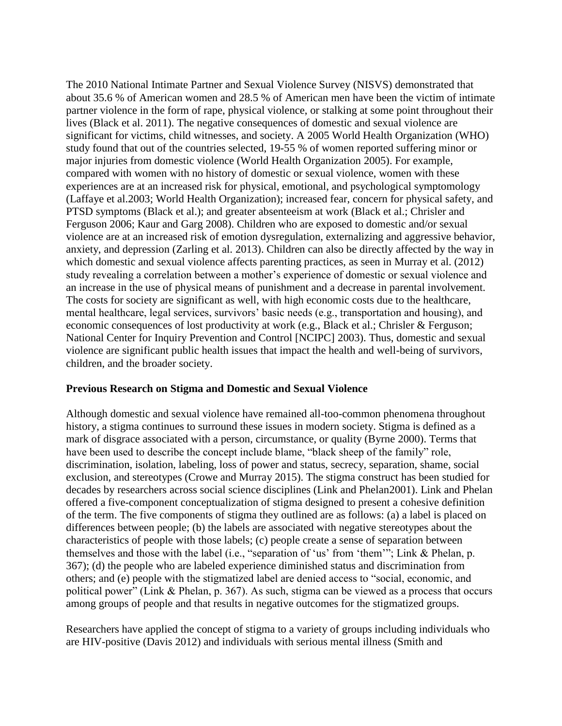The 2010 National Intimate Partner and Sexual Violence Survey (NISVS) demonstrated that about 35.6 % of American women and 28.5 % of American men have been the victim of intimate partner violence in the form of rape, physical violence, or stalking at some point throughout their lives (Black et al. 2011). The negative consequences of domestic and sexual violence are significant for victims, child witnesses, and society. A 2005 World Health Organization (WHO) study found that out of the countries selected, 19-55 % of women reported suffering minor or major injuries from domestic violence (World Health Organization 2005). For example, compared with women with no history of domestic or sexual violence, women with these experiences are at an increased risk for physical, emotional, and psychological symptomology (Laffaye et al.2003; World Health Organization); increased fear, concern for physical safety, and PTSD symptoms (Black et al.); and greater absenteeism at work (Black et al.; Chrisler and Ferguson 2006; Kaur and Garg 2008). Children who are exposed to domestic and/or sexual violence are at an increased risk of emotion dysregulation, externalizing and aggressive behavior, anxiety, and depression (Zarling et al. 2013). Children can also be directly affected by the way in which domestic and sexual violence affects parenting practices, as seen in Murray et al. (2012) study revealing a correlation between a mother's experience of domestic or sexual violence and an increase in the use of physical means of punishment and a decrease in parental involvement. The costs for society are significant as well, with high economic costs due to the healthcare, mental healthcare, legal services, survivors' basic needs (e.g., transportation and housing), and economic consequences of lost productivity at work (e.g., Black et al.; Chrisler & Ferguson; National Center for Inquiry Prevention and Control [NCIPC] 2003). Thus, domestic and sexual violence are significant public health issues that impact the health and well-being of survivors, children, and the broader society.

### **Previous Research on Stigma and Domestic and Sexual Violence**

Although domestic and sexual violence have remained all-too-common phenomena throughout history, a stigma continues to surround these issues in modern society. Stigma is defined as a mark of disgrace associated with a person, circumstance, or quality (Byrne 2000). Terms that have been used to describe the concept include blame, "black sheep of the family" role, discrimination, isolation, labeling, loss of power and status, secrecy, separation, shame, social exclusion, and stereotypes (Crowe and Murray 2015). The stigma construct has been studied for decades by researchers across social science disciplines (Link and Phelan2001). Link and Phelan offered a five-component conceptualization of stigma designed to present a cohesive definition of the term. The five components of stigma they outlined are as follows: (a) a label is placed on differences between people; (b) the labels are associated with negative stereotypes about the characteristics of people with those labels; (c) people create a sense of separation between themselves and those with the label (i.e., "separation of 'us' from 'them'"; Link & Phelan, p. 367); (d) the people who are labeled experience diminished status and discrimination from others; and (e) people with the stigmatized label are denied access to "social, economic, and political power" (Link & Phelan, p. 367). As such, stigma can be viewed as a process that occurs among groups of people and that results in negative outcomes for the stigmatized groups.

Researchers have applied the concept of stigma to a variety of groups including individuals who are HIV-positive (Davis 2012) and individuals with serious mental illness (Smith and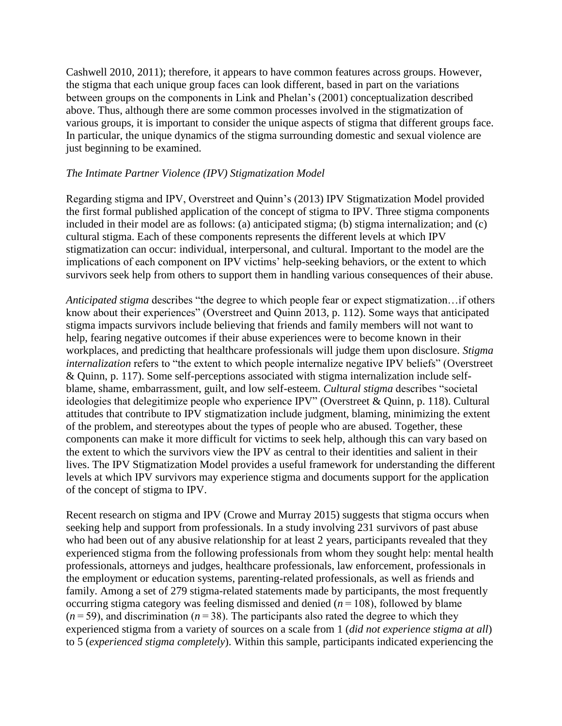Cashwell 2010, 2011); therefore, it appears to have common features across groups. However, the stigma that each unique group faces can look different, based in part on the variations between groups on the components in Link and Phelan's (2001) conceptualization described above. Thus, although there are some common processes involved in the stigmatization of various groups, it is important to consider the unique aspects of stigma that different groups face. In particular, the unique dynamics of the stigma surrounding domestic and sexual violence are just beginning to be examined.

### *The Intimate Partner Violence (IPV) Stigmatization Model*

Regarding stigma and IPV, Overstreet and Quinn's (2013) IPV Stigmatization Model provided the first formal published application of the concept of stigma to IPV. Three stigma components included in their model are as follows: (a) anticipated stigma; (b) stigma internalization; and (c) cultural stigma. Each of these components represents the different levels at which IPV stigmatization can occur: individual, interpersonal, and cultural. Important to the model are the implications of each component on IPV victims' help-seeking behaviors, or the extent to which survivors seek help from others to support them in handling various consequences of their abuse.

*Anticipated stigma* describes "the degree to which people fear or expect stigmatization…if others know about their experiences" (Overstreet and Quinn 2013, p. 112). Some ways that anticipated stigma impacts survivors include believing that friends and family members will not want to help, fearing negative outcomes if their abuse experiences were to become known in their workplaces, and predicting that healthcare professionals will judge them upon disclosure. *Stigma internalization* refers to "the extent to which people internalize negative IPV beliefs" (Overstreet & Quinn, p. 117). Some self-perceptions associated with stigma internalization include selfblame, shame, embarrassment, guilt, and low self-esteem. *Cultural stigma* describes "societal ideologies that delegitimize people who experience IPV" (Overstreet & Quinn, p. 118). Cultural attitudes that contribute to IPV stigmatization include judgment, blaming, minimizing the extent of the problem, and stereotypes about the types of people who are abused. Together, these components can make it more difficult for victims to seek help, although this can vary based on the extent to which the survivors view the IPV as central to their identities and salient in their lives. The IPV Stigmatization Model provides a useful framework for understanding the different levels at which IPV survivors may experience stigma and documents support for the application of the concept of stigma to IPV.

Recent research on stigma and IPV (Crowe and Murray 2015) suggests that stigma occurs when seeking help and support from professionals. In a study involving 231 survivors of past abuse who had been out of any abusive relationship for at least 2 years, participants revealed that they experienced stigma from the following professionals from whom they sought help: mental health professionals, attorneys and judges, healthcare professionals, law enforcement, professionals in the employment or education systems, parenting-related professionals, as well as friends and family. Among a set of 279 stigma-related statements made by participants, the most frequently occurring stigma category was feeling dismissed and denied  $(n = 108)$ , followed by blame  $(n=59)$ , and discrimination  $(n=38)$ . The participants also rated the degree to which they experienced stigma from a variety of sources on a scale from 1 (*did not experience stigma at all*) to 5 (*experienced stigma completely*). Within this sample, participants indicated experiencing the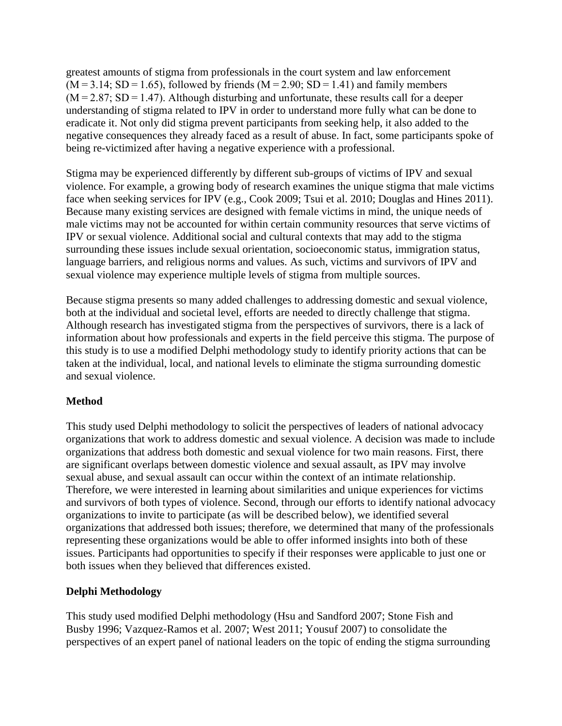greatest amounts of stigma from professionals in the court system and law enforcement  $(M = 3.14; SD = 1.65)$ , followed by friends  $(M = 2.90; SD = 1.41)$  and family members  $(M = 2.87; SD = 1.47)$ . Although disturbing and unfortunate, these results call for a deeper understanding of stigma related to IPV in order to understand more fully what can be done to eradicate it. Not only did stigma prevent participants from seeking help, it also added to the negative consequences they already faced as a result of abuse. In fact, some participants spoke of being re-victimized after having a negative experience with a professional.

Stigma may be experienced differently by different sub-groups of victims of IPV and sexual violence. For example, a growing body of research examines the unique stigma that male victims face when seeking services for IPV (e.g., Cook 2009; Tsui et al. 2010; Douglas and Hines 2011). Because many existing services are designed with female victims in mind, the unique needs of male victims may not be accounted for within certain community resources that serve victims of IPV or sexual violence. Additional social and cultural contexts that may add to the stigma surrounding these issues include sexual orientation, socioeconomic status, immigration status, language barriers, and religious norms and values. As such, victims and survivors of IPV and sexual violence may experience multiple levels of stigma from multiple sources.

Because stigma presents so many added challenges to addressing domestic and sexual violence, both at the individual and societal level, efforts are needed to directly challenge that stigma. Although research has investigated stigma from the perspectives of survivors, there is a lack of information about how professionals and experts in the field perceive this stigma. The purpose of this study is to use a modified Delphi methodology study to identify priority actions that can be taken at the individual, local, and national levels to eliminate the stigma surrounding domestic and sexual violence.

## **Method**

This study used Delphi methodology to solicit the perspectives of leaders of national advocacy organizations that work to address domestic and sexual violence. A decision was made to include organizations that address both domestic and sexual violence for two main reasons. First, there are significant overlaps between domestic violence and sexual assault, as IPV may involve sexual abuse, and sexual assault can occur within the context of an intimate relationship. Therefore, we were interested in learning about similarities and unique experiences for victims and survivors of both types of violence. Second, through our efforts to identify national advocacy organizations to invite to participate (as will be described below), we identified several organizations that addressed both issues; therefore, we determined that many of the professionals representing these organizations would be able to offer informed insights into both of these issues. Participants had opportunities to specify if their responses were applicable to just one or both issues when they believed that differences existed.

# **Delphi Methodology**

This study used modified Delphi methodology (Hsu and Sandford 2007; Stone Fish and Busby 1996; Vazquez-Ramos et al. 2007; West 2011; Yousuf 2007) to consolidate the perspectives of an expert panel of national leaders on the topic of ending the stigma surrounding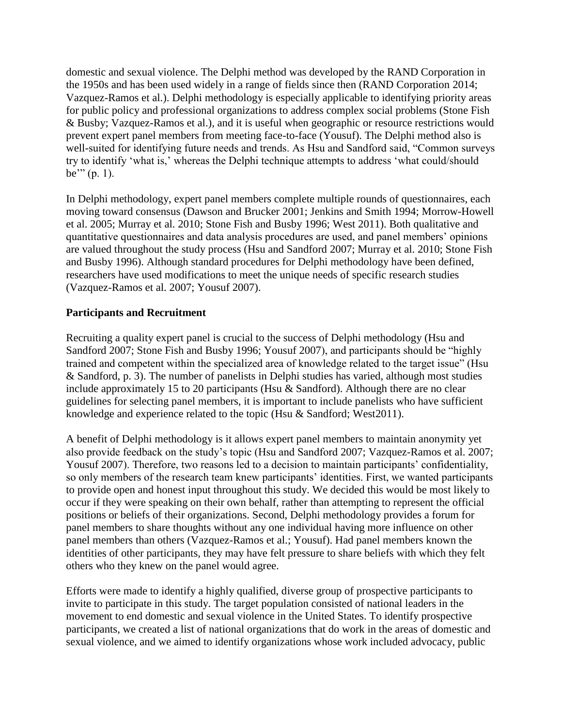domestic and sexual violence. The Delphi method was developed by the RAND Corporation in the 1950s and has been used widely in a range of fields since then (RAND Corporation 2014; Vazquez-Ramos et al.). Delphi methodology is especially applicable to identifying priority areas for public policy and professional organizations to address complex social problems (Stone Fish & Busby; Vazquez-Ramos et al.), and it is useful when geographic or resource restrictions would prevent expert panel members from meeting face-to-face (Yousuf). The Delphi method also is well-suited for identifying future needs and trends. As Hsu and Sandford said, "Common surveys try to identify 'what is,' whereas the Delphi technique attempts to address 'what could/should  $be''''(p. 1).$ 

In Delphi methodology, expert panel members complete multiple rounds of questionnaires, each moving toward consensus (Dawson and Brucker 2001; Jenkins and Smith 1994; Morrow-Howell et al. 2005; Murray et al. 2010; Stone Fish and Busby 1996; West 2011). Both qualitative and quantitative questionnaires and data analysis procedures are used, and panel members' opinions are valued throughout the study process (Hsu and Sandford 2007; Murray et al. 2010; Stone Fish and Busby 1996). Although standard procedures for Delphi methodology have been defined, researchers have used modifications to meet the unique needs of specific research studies (Vazquez-Ramos et al. 2007; Yousuf 2007).

## **Participants and Recruitment**

Recruiting a quality expert panel is crucial to the success of Delphi methodology (Hsu and Sandford 2007; Stone Fish and Busby 1996; Yousuf 2007), and participants should be "highly trained and competent within the specialized area of knowledge related to the target issue" (Hsu & Sandford, p. 3). The number of panelists in Delphi studies has varied, although most studies include approximately 15 to 20 participants (Hsu & Sandford). Although there are no clear guidelines for selecting panel members, it is important to include panelists who have sufficient knowledge and experience related to the topic (Hsu & Sandford; West2011).

A benefit of Delphi methodology is it allows expert panel members to maintain anonymity yet also provide feedback on the study's topic (Hsu and Sandford 2007; Vazquez-Ramos et al. 2007; Yousuf 2007). Therefore, two reasons led to a decision to maintain participants' confidentiality, so only members of the research team knew participants' identities. First, we wanted participants to provide open and honest input throughout this study. We decided this would be most likely to occur if they were speaking on their own behalf, rather than attempting to represent the official positions or beliefs of their organizations. Second, Delphi methodology provides a forum for panel members to share thoughts without any one individual having more influence on other panel members than others (Vazquez-Ramos et al.; Yousuf). Had panel members known the identities of other participants, they may have felt pressure to share beliefs with which they felt others who they knew on the panel would agree.

Efforts were made to identify a highly qualified, diverse group of prospective participants to invite to participate in this study. The target population consisted of national leaders in the movement to end domestic and sexual violence in the United States. To identify prospective participants, we created a list of national organizations that do work in the areas of domestic and sexual violence, and we aimed to identify organizations whose work included advocacy, public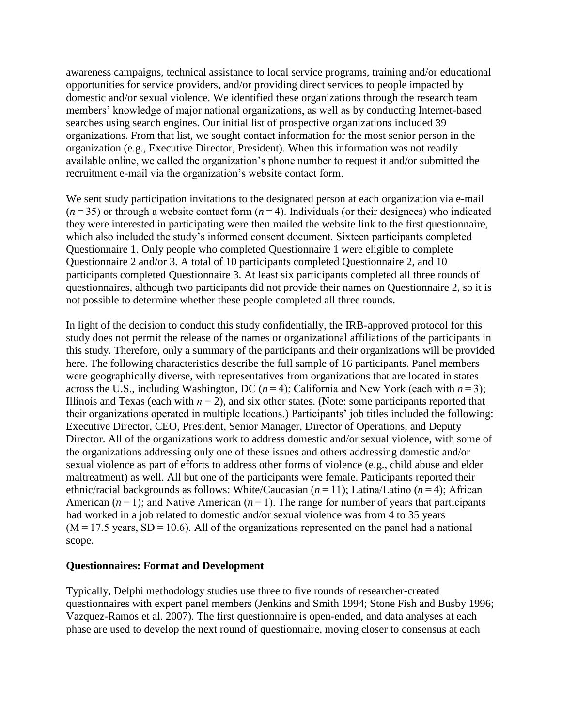awareness campaigns, technical assistance to local service programs, training and/or educational opportunities for service providers, and/or providing direct services to people impacted by domestic and/or sexual violence. We identified these organizations through the research team members' knowledge of major national organizations, as well as by conducting Internet-based searches using search engines. Our initial list of prospective organizations included 39 organizations. From that list, we sought contact information for the most senior person in the organization (e.g., Executive Director, President). When this information was not readily available online, we called the organization's phone number to request it and/or submitted the recruitment e-mail via the organization's website contact form.

We sent study participation invitations to the designated person at each organization via e-mail  $(n=35)$  or through a website contact form  $(n=4)$ . Individuals (or their designees) who indicated they were interested in participating were then mailed the website link to the first questionnaire, which also included the study's informed consent document. Sixteen participants completed Questionnaire 1. Only people who completed Questionnaire 1 were eligible to complete Questionnaire 2 and/or 3. A total of 10 participants completed Questionnaire 2, and 10 participants completed Questionnaire 3. At least six participants completed all three rounds of questionnaires, although two participants did not provide their names on Questionnaire 2, so it is not possible to determine whether these people completed all three rounds.

In light of the decision to conduct this study confidentially, the IRB-approved protocol for this study does not permit the release of the names or organizational affiliations of the participants in this study. Therefore, only a summary of the participants and their organizations will be provided here. The following characteristics describe the full sample of 16 participants. Panel members were geographically diverse, with representatives from organizations that are located in states across the U.S., including Washington, DC  $(n=4)$ ; California and New York (each with  $n=3$ ); Illinois and Texas (each with  $n = 2$ ), and six other states. (Note: some participants reported that their organizations operated in multiple locations.) Participants' job titles included the following: Executive Director, CEO, President, Senior Manager, Director of Operations, and Deputy Director. All of the organizations work to address domestic and/or sexual violence, with some of the organizations addressing only one of these issues and others addressing domestic and/or sexual violence as part of efforts to address other forms of violence (e.g., child abuse and elder maltreatment) as well. All but one of the participants were female. Participants reported their ethnic/racial backgrounds as follows: White/Caucasian (*n* = 11); Latina/Latino (*n* = 4); African American  $(n=1)$ ; and Native American  $(n=1)$ . The range for number of years that participants had worked in a job related to domestic and/or sexual violence was from 4 to 35 years  $(M = 17.5$  years,  $SD = 10.6$ ). All of the organizations represented on the panel had a national scope.

#### **Questionnaires: Format and Development**

Typically, Delphi methodology studies use three to five rounds of researcher-created questionnaires with expert panel members (Jenkins and Smith 1994; Stone Fish and Busby 1996; Vazquez-Ramos et al. 2007). The first questionnaire is open-ended, and data analyses at each phase are used to develop the next round of questionnaire, moving closer to consensus at each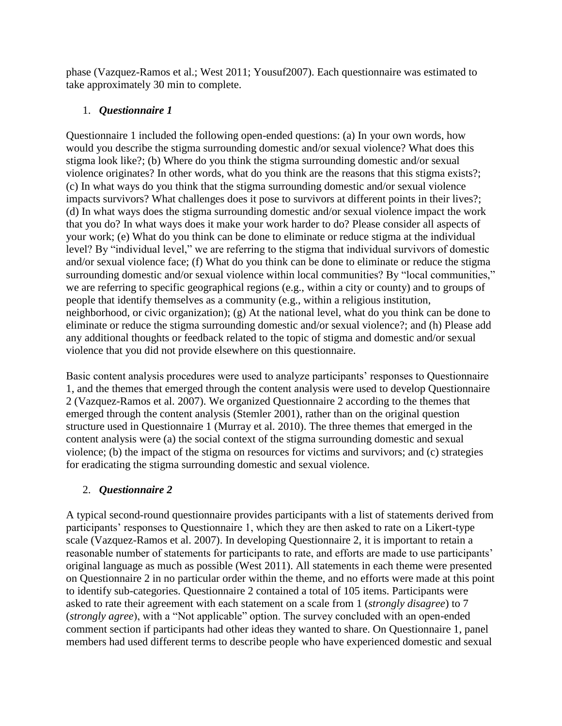phase (Vazquez-Ramos et al.; West 2011; Yousuf2007). Each questionnaire was estimated to take approximately 30 min to complete.

## 1. *Questionnaire 1*

Questionnaire 1 included the following open-ended questions: (a) In your own words, how would you describe the stigma surrounding domestic and/or sexual violence? What does this stigma look like?; (b) Where do you think the stigma surrounding domestic and/or sexual violence originates? In other words, what do you think are the reasons that this stigma exists?; (c) In what ways do you think that the stigma surrounding domestic and/or sexual violence impacts survivors? What challenges does it pose to survivors at different points in their lives?; (d) In what ways does the stigma surrounding domestic and/or sexual violence impact the work that you do? In what ways does it make your work harder to do? Please consider all aspects of your work; (e) What do you think can be done to eliminate or reduce stigma at the individual level? By "individual level," we are referring to the stigma that individual survivors of domestic and/or sexual violence face; (f) What do you think can be done to eliminate or reduce the stigma surrounding domestic and/or sexual violence within local communities? By "local communities," we are referring to specific geographical regions (e.g., within a city or county) and to groups of people that identify themselves as a community (e.g., within a religious institution, neighborhood, or civic organization); (g) At the national level, what do you think can be done to eliminate or reduce the stigma surrounding domestic and/or sexual violence?; and (h) Please add any additional thoughts or feedback related to the topic of stigma and domestic and/or sexual violence that you did not provide elsewhere on this questionnaire.

Basic content analysis procedures were used to analyze participants' responses to Questionnaire 1, and the themes that emerged through the content analysis were used to develop Questionnaire 2 (Vazquez-Ramos et al. 2007). We organized Questionnaire 2 according to the themes that emerged through the content analysis (Stemler 2001), rather than on the original question structure used in Questionnaire 1 (Murray et al. 2010). The three themes that emerged in the content analysis were (a) the social context of the stigma surrounding domestic and sexual violence; (b) the impact of the stigma on resources for victims and survivors; and (c) strategies for eradicating the stigma surrounding domestic and sexual violence.

# 2. *Questionnaire 2*

A typical second-round questionnaire provides participants with a list of statements derived from participants' responses to Questionnaire 1, which they are then asked to rate on a Likert-type scale (Vazquez-Ramos et al. 2007). In developing Questionnaire 2, it is important to retain a reasonable number of statements for participants to rate, and efforts are made to use participants' original language as much as possible (West 2011). All statements in each theme were presented on Questionnaire 2 in no particular order within the theme, and no efforts were made at this point to identify sub-categories. Questionnaire 2 contained a total of 105 items. Participants were asked to rate their agreement with each statement on a scale from 1 (*strongly disagree*) to 7 (*strongly agree*), with a "Not applicable" option. The survey concluded with an open-ended comment section if participants had other ideas they wanted to share. On Questionnaire 1, panel members had used different terms to describe people who have experienced domestic and sexual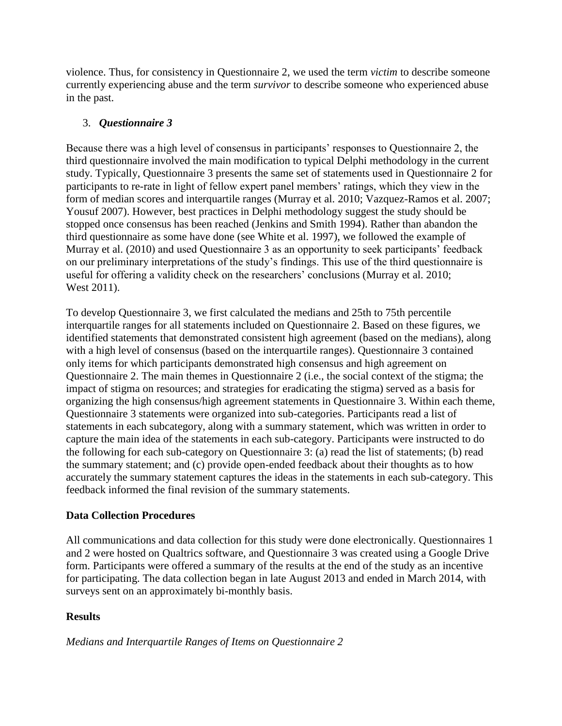violence. Thus, for consistency in Questionnaire 2, we used the term *victim* to describe someone currently experiencing abuse and the term *survivor* to describe someone who experienced abuse in the past.

## 3. *Questionnaire 3*

Because there was a high level of consensus in participants' responses to Questionnaire 2, the third questionnaire involved the main modification to typical Delphi methodology in the current study. Typically, Questionnaire 3 presents the same set of statements used in Questionnaire 2 for participants to re-rate in light of fellow expert panel members' ratings, which they view in the form of median scores and interquartile ranges (Murray et al. 2010; Vazquez-Ramos et al. 2007; Yousuf 2007). However, best practices in Delphi methodology suggest the study should be stopped once consensus has been reached (Jenkins and Smith 1994). Rather than abandon the third questionnaire as some have done (see White et al. 1997), we followed the example of Murray et al. (2010) and used Questionnaire 3 as an opportunity to seek participants' feedback on our preliminary interpretations of the study's findings. This use of the third questionnaire is useful for offering a validity check on the researchers' conclusions (Murray et al. 2010; West 2011).

To develop Questionnaire 3, we first calculated the medians and 25th to 75th percentile interquartile ranges for all statements included on Questionnaire 2. Based on these figures, we identified statements that demonstrated consistent high agreement (based on the medians), along with a high level of consensus (based on the interquartile ranges). Questionnaire 3 contained only items for which participants demonstrated high consensus and high agreement on Questionnaire 2. The main themes in Questionnaire 2 (i.e., the social context of the stigma; the impact of stigma on resources; and strategies for eradicating the stigma) served as a basis for organizing the high consensus/high agreement statements in Questionnaire 3. Within each theme, Questionnaire 3 statements were organized into sub-categories. Participants read a list of statements in each subcategory, along with a summary statement, which was written in order to capture the main idea of the statements in each sub-category. Participants were instructed to do the following for each sub-category on Questionnaire 3: (a) read the list of statements; (b) read the summary statement; and (c) provide open-ended feedback about their thoughts as to how accurately the summary statement captures the ideas in the statements in each sub-category. This feedback informed the final revision of the summary statements.

## **Data Collection Procedures**

All communications and data collection for this study were done electronically. Questionnaires 1 and 2 were hosted on Qualtrics software, and Questionnaire 3 was created using a Google Drive form. Participants were offered a summary of the results at the end of the study as an incentive for participating. The data collection began in late August 2013 and ended in March 2014, with surveys sent on an approximately bi-monthly basis.

# **Results**

*Medians and Interquartile Ranges of Items on Questionnaire 2*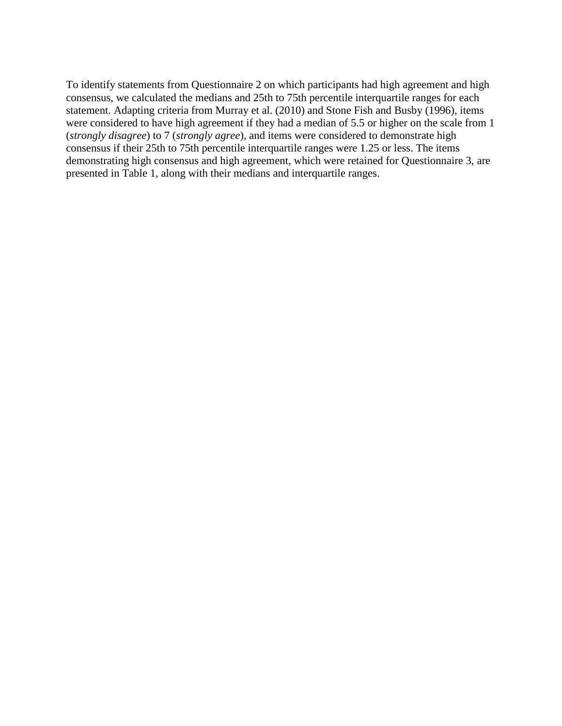To identify statements from Questionnaire 2 on which participants had high agreement and high consensus, we calculated the medians and 25th to 75th percentile interquartile ranges for each statement. Adapting criteria from Murray et al. (2010) and Stone Fish and Busby (1996), items were considered to have high agreement if they had a median of 5.5 or higher on the scale from 1 (*strongly disagree*) to 7 (*strongly agree*), and items were considered to demonstrate high consensus if their 25th to 75th percentile interquartile ranges were 1.25 or less. The items demonstrating high consensus and high agreement, which were retained for Questionnaire 3, are presented in Table 1, along with their medians and interquartile ranges.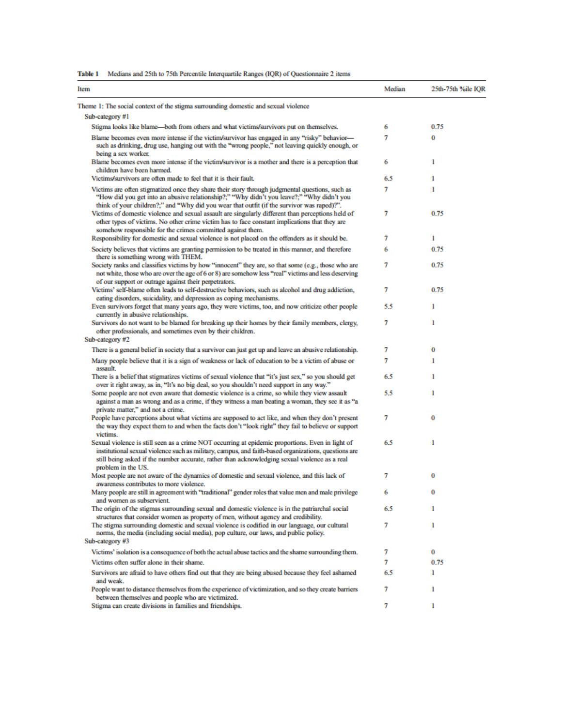| Item                                                                                                                                                                                                                                                                                                                                                                                            | Median | 25th-75th %ile IQR |
|-------------------------------------------------------------------------------------------------------------------------------------------------------------------------------------------------------------------------------------------------------------------------------------------------------------------------------------------------------------------------------------------------|--------|--------------------|
| Theme 1: The social context of the stigma surrounding domestic and sexual violence                                                                                                                                                                                                                                                                                                              |        |                    |
| Sub-category #1                                                                                                                                                                                                                                                                                                                                                                                 |        |                    |
| Stigma looks like blame—both from others and what victims/survivors put on themselves.                                                                                                                                                                                                                                                                                                          | 6      | 0.75               |
| Blame becomes even more intense if the victim/survivor has engaged in any "risky" behavior-<br>such as drinking, drug use, hanging out with the "wrong people," not leaving quickly enough, or<br>being a sex worker.                                                                                                                                                                           | 7      | 0                  |
| Blame becomes even more intense if the victim/survivor is a mother and there is a perception that<br>children have been harmed.                                                                                                                                                                                                                                                                 | 6      | 1                  |
| Victims/survivors are often made to feel that it is their fault.                                                                                                                                                                                                                                                                                                                                | 6.5    | ı                  |
| Victims are often stigmatized once they share their story through judgmental questions, such as<br>"How did you get into an abusive relationship?;" "Why didn't you leave?;" "Why didn't you<br>think of your children?;" and "Why did you wear that outfit (if the survivor was raped)?".<br>Victims of domestic violence and sexual assault are singularly different than perceptions held of | 7<br>7 | 1<br>0.75          |
| other types of victims. No other crime victim has to face constant implications that they are<br>somehow responsible for the crimes committed against them.                                                                                                                                                                                                                                     |        |                    |
| Responsibility for domestic and sexual violence is not placed on the offenders as it should be.                                                                                                                                                                                                                                                                                                 | 7      | 1                  |
| Society believes that victims are granting permission to be treated in this manner, and therefore<br>there is something wrong with THEM.                                                                                                                                                                                                                                                        | 6      | 0.75               |
| Society ranks and classifies victims by how "innocent" they are, so that some (e.g., those who are<br>not white, those who are over the age of 6 or 8) are somehow less "real" victims and less deserving<br>of our support or outrage against their perpetrators.                                                                                                                              | 7      | 0.75               |
| Victims' self-blame often leads to self-destructive behaviors, such as alcohol and drug addiction,<br>eating disorders, suicidality, and depression as coping mechanisms.                                                                                                                                                                                                                       | 7      | 0.75               |
| Even survivors forget that many years ago, they were victims, too, and now criticize other people<br>currently in abusive relationships.                                                                                                                                                                                                                                                        | 5.5    | ı                  |
| Survivors do not want to be blamed for breaking up their homes by their family members, clergy,<br>other professionals, and sometimes even by their children.<br>Sub-category #2                                                                                                                                                                                                                | 7      | 1                  |
| There is a general belief in society that a survivor can just get up and leave an abusive relationship.                                                                                                                                                                                                                                                                                         | 7      | 0                  |
| Many people believe that it is a sign of weakness or lack of education to be a victim of abuse or<br>assault.                                                                                                                                                                                                                                                                                   | 7      | 1                  |
| There is a belief that stigmatizes victims of sexual violence that "it's just sex," so you should get<br>over it right away, as in, "It's no big deal, so you shouldn't need support in any way."                                                                                                                                                                                               | 6.5    | 1                  |
| Some people are not even aware that domestic violence is a crime, so while they view assault<br>against a man as wrong and as a crime, if they witness a man beating a woman, they see it as "a<br>private matter," and not a crime.                                                                                                                                                            | 5.5    | ı                  |
| People have perceptions about what victims are supposed to act like, and when they don't present<br>the way they expect them to and when the facts don't "look right" they fail to believe or support<br>victims.                                                                                                                                                                               | 7      | 0                  |
| Sexual violence is still seen as a crime NOT occurring at epidemic proportions. Even in light of<br>institutional sexual violence such as military, campus, and faith-based organizations, questions are<br>still being asked if the number accurate, rather than acknowledging sexual violence as a real<br>problem in the US.                                                                 | 6.5    | ı                  |
| Most people are not aware of the dynamics of domestic and sexual violence, and this lack of<br>awareness contributes to more violence.                                                                                                                                                                                                                                                          | 7      | 0                  |
| Many people are still in agreement with "traditional" gender roles that value men and male privilege<br>and women as subservient.                                                                                                                                                                                                                                                               | 6      | 0                  |
| The origin of the stigmas surrounding sexual and domestic violence is in the patriarchal social<br>structures that consider women as property of men, without agency and credibility.                                                                                                                                                                                                           | 6.5    | ı                  |
| The stigma surrounding domestic and sexual violence is codified in our language, our cultural<br>norms, the media (including social media), pop culture, our laws, and public policy.<br>Sub-category #3                                                                                                                                                                                        | 7      | 1                  |
| Victims' isolation is a consequence of both the actual abuse tactics and the shame surrounding them.                                                                                                                                                                                                                                                                                            | 7      | 0                  |
| Victims often suffer alone in their shame.                                                                                                                                                                                                                                                                                                                                                      | 7      | 0.75               |
| Survivors are afraid to have others find out that they are being abused because they feel ashamed<br>and weak.                                                                                                                                                                                                                                                                                  | 6.5    | ı                  |
| People want to distance themselves from the experience of victimization, and so they create barriers<br>between themselves and people who are victimized.                                                                                                                                                                                                                                       | 7      | 1                  |
| Stigma can create divisions in families and friendships.                                                                                                                                                                                                                                                                                                                                        | 7      | ı                  |

#### Table 1 Medians and 25th to 75th Percentile Interquartile Ranges (IQR) of Questionnaire 2 items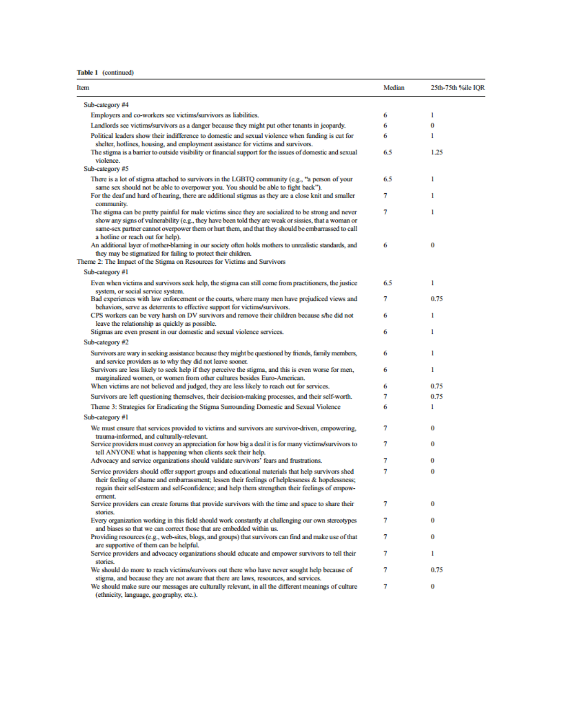Table 1 (continued)

| Item                                                                                                                                                                                                                                                                                                                                                | Median | 25th-75th %ile IQR |
|-----------------------------------------------------------------------------------------------------------------------------------------------------------------------------------------------------------------------------------------------------------------------------------------------------------------------------------------------------|--------|--------------------|
| Sub-category #4                                                                                                                                                                                                                                                                                                                                     |        |                    |
| Employers and co-workers see victims/survivors as liabilities.                                                                                                                                                                                                                                                                                      | 6      | 1                  |
| Landlords see victims/survivors as a danger because they might put other tenants in jeopardy.                                                                                                                                                                                                                                                       | 6      | 0                  |
| Political leaders show their indifference to domestic and sexual violence when funding is cut for<br>shelter, hotlines, housing, and employment assistance for victims and survivors.                                                                                                                                                               | 6      | 1                  |
| The stigma is a barrier to outside visibility or financial support for the issues of domestic and sexual<br>violence.<br>Sub-category #5                                                                                                                                                                                                            | 6.5    | 1.25               |
| There is a lot of stigma attached to survivors in the LGBTQ community (e.g., "a person of your<br>same sex should not be able to overpower you. You should be able to fight back").                                                                                                                                                                 | 6.5    | 1                  |
| For the deaf and hard of hearing, there are additional stigmas as they are a close knit and smaller<br>community.                                                                                                                                                                                                                                   | 7      | 1                  |
| The stigma can be pretty painful for male victims since they are socialized to be strong and never<br>show any signs of vulnerability (e.g., they have been told they are weak or sissies, that a woman or<br>same-sex partner cannot overpower them or hurt them, and that they should be embarrassed to call<br>a hotline or reach out for help). | 7      | 1                  |
| An additional layer of mother-blaming in our society often holds mothers to unrealistic standards, and<br>they may be stigmatized for failing to protect their children.                                                                                                                                                                            | 6      | 0                  |
| Theme 2: The Impact of the Stigma on Resources for Victims and Survivors<br>Sub-category #1                                                                                                                                                                                                                                                         |        |                    |
| Even when victims and survivors seek help, the stigma can still come from practitioners, the justice<br>system, or social service system.                                                                                                                                                                                                           | 6.5    | 1                  |
| Bad experiences with law enforcement or the courts, where many men have prejudiced views and<br>behaviors, serve as deterrents to effective support for victims/survivors.                                                                                                                                                                          | 7      | 0.75               |
| CPS workers can be very harsh on DV survivors and remove their children because s/he did not<br>leave the relationship as quickly as possible.                                                                                                                                                                                                      | 6      | 1                  |
| Stigmas are even present in our domestic and sexual violence services.<br>Sub-category #2                                                                                                                                                                                                                                                           | 6      | 1                  |
| Survivors are wary in seeking assistance because they might be questioned by friends, family members,                                                                                                                                                                                                                                               | 6      | 1                  |
| and service providers as to why they did not leave sooner.<br>Survivors are less likely to seek help if they perceive the stigma, and this is even worse for men,                                                                                                                                                                                   | 6      | 1                  |
| marginalized women, or women from other cultures besides Euro-American.<br>When victims are not believed and judged, they are less likely to reach out for services.                                                                                                                                                                                | 6      | 0.75               |
| Survivors are left questioning themselves, their decision-making processes, and their self-worth.                                                                                                                                                                                                                                                   | 7      | 0.75               |
| Theme 3: Strategies for Eradicating the Stigma Surrounding Domestic and Sexual Violence                                                                                                                                                                                                                                                             | 6      | 1                  |
| Sub-category #1                                                                                                                                                                                                                                                                                                                                     |        |                    |
| We must ensure that services provided to victims and survivors are survivor-driven, empowering,                                                                                                                                                                                                                                                     | 7      | 0                  |
| trauma-informed, and culturally-relevant.<br>Service providers must convey an appreciation for how big a deal it is for many victims/survivors to<br>tell ANYONE what is happening when clients seek their help.                                                                                                                                    | 7      | 0                  |
| Advocacy and service organizations should validate survivors' fears and frustrations.                                                                                                                                                                                                                                                               | 7      | 0                  |
| Service providers should offer support groups and educational materials that help survivors shed<br>their feeling of shame and embarrassment; lessen their feelings of helplessness & hopelessness;<br>regain their self-esteem and self-confidence; and help them strengthen their feelings of empow-<br>erment.                                   | 7      | 0                  |
| Service providers can create forums that provide survivors with the time and space to share their<br>stories.                                                                                                                                                                                                                                       | 7      | 0                  |
| Every organization working in this field should work constantly at challenging our own stereotypes<br>and biases so that we can correct those that are embedded within us.                                                                                                                                                                          | 7      | 0                  |
| Providing resources (e.g., web-sites, blogs, and groups) that survivors can find and make use of that<br>are supportive of them can be helpful.                                                                                                                                                                                                     | 7      | 0                  |
| Service providers and advocacy organizations should educate and empower survivors to tell their<br>stories.                                                                                                                                                                                                                                         | 7      | 1                  |
| We should do more to reach victims/survivors out there who have never sought help because of<br>stigma, and because they are not aware that there are laws, resources, and services.                                                                                                                                                                | 7      | 0.75               |
| We should make sure our messages are culturally relevant, in all the different meanings of culture<br>(ethnicity, language, geography, etc.).                                                                                                                                                                                                       | 7      | 0                  |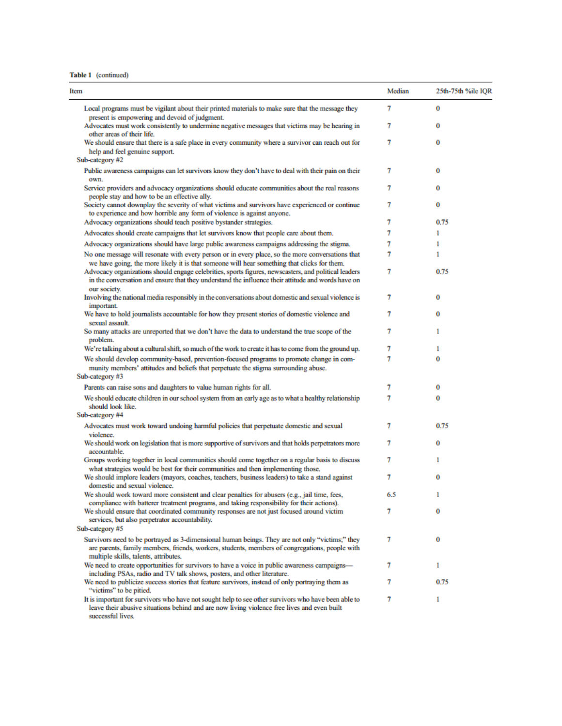Table 1 (continued)

| Item                                                                                                                                                                                                                                       | Median | 25th-75th %ile IQR |
|--------------------------------------------------------------------------------------------------------------------------------------------------------------------------------------------------------------------------------------------|--------|--------------------|
| Local programs must be vigilant about their printed materials to make sure that the message they<br>present is empowering and devoid of judgment.                                                                                          | 7      | 0                  |
| Advocates must work consistently to undermine negative messages that victims may be hearing in<br>other areas of their life.                                                                                                               | 7      | 0                  |
| We should ensure that there is a safe place in every community where a survivor can reach out for<br>help and feel genuine support.<br>Sub-category #2                                                                                     | 7      | 0                  |
| Public awareness campaigns can let survivors know they don't have to deal with their pain on their<br>own.                                                                                                                                 | 7      | 0                  |
| Service providers and advocacy organizations should educate communities about the real reasons<br>people stay and how to be an effective ally.                                                                                             | 7      | 0                  |
| Society cannot downplay the severity of what victims and survivors have experienced or continue<br>to experience and how horrible any form of violence is against anyone.                                                                  | 7      | 0                  |
| Advocacy organizations should teach positive bystander strategies.                                                                                                                                                                         | 7      | 0.75               |
| Advocates should create campaigns that let survivors know that people care about them.                                                                                                                                                     | 7      | 1                  |
| Advocacy organizations should have large public awareness campaigns addressing the stigma.                                                                                                                                                 | 7      | 1                  |
| No one message will resonate with every person or in every place, so the more conversations that<br>we have going, the more likely it is that someone will hear something that clicks for them.                                            | 7      | 1                  |
| Advocacy organizations should engage celebrities, sports figures, newscasters, and political leaders<br>in the conversation and ensure that they understand the influence their attitude and words have on<br>our society.                 | 7      | 0.75               |
| Involving the national media responsibly in the conversations about domestic and sexual violence is<br>important.                                                                                                                          | 7      | 0                  |
| We have to hold journalists accountable for how they present stories of domestic violence and<br>sexual assault.                                                                                                                           | 7      | 0                  |
| So many attacks are unreported that we don't have the data to understand the true scope of the<br>problem.                                                                                                                                 | 7      | 1                  |
| We're talking about a cultural shift, so much of the work to create it has to come from the ground up.                                                                                                                                     | 7      | 1                  |
| We should develop community-based, prevention-focused programs to promote change in com-<br>munity members' attitudes and beliefs that perpetuate the stigma surrounding abuse.                                                            | 7      | 0                  |
| Sub-category #3                                                                                                                                                                                                                            |        |                    |
| Parents can raise sons and daughters to value human rights for all.                                                                                                                                                                        | 7      | 0                  |
| We should educate children in our school system from an early age as to what a healthy relationship<br>should look like.<br>Sub-category #4                                                                                                | 7      | 0                  |
| Advocates must work toward undoing harmful policies that perpetuate domestic and sexual<br>violence.                                                                                                                                       | 7      | 0.75               |
| We should work on legislation that is more supportive of survivors and that holds perpetrators more<br>accountable.                                                                                                                        | 7      | 0                  |
| Groups working together in local communities should come together on a regular basis to discuss<br>what strategies would be best for their communities and then implementing those.                                                        | 7      | 1                  |
| We should implore leaders (mayors, coaches, teachers, business leaders) to take a stand against<br>domestic and sexual violence.                                                                                                           | 7      | 0                  |
| We should work toward more consistent and clear penalties for abusers (e.g., jail time, fees,<br>compliance with batterer treatment programs, and taking responsibility for their actions).                                                | 6.5    |                    |
| We should ensure that coordinated community responses are not just focused around victim<br>services, but also perpetrator accountability.<br>Sub-category #5                                                                              | 7      | 0                  |
| Survivors need to be portrayed as 3-dimensional human beings. They are not only "victims;" they<br>are parents, family members, friends, workers, students, members of congregations, people with<br>multiple skills, talents, attributes. | 7      | 0                  |
| We need to create opportunities for survivors to have a voice in public awareness campaigns-<br>including PSAs, radio and TV talk shows, posters, and other literature.                                                                    | 7      | 1                  |
| We need to publicize success stories that feature survivors, instead of only portraying them as<br>"victims" to be pitied.                                                                                                                 | 7      | 0.75               |
| It is important for survivors who have not sought help to see other survivors who have been able to<br>leave their abusive situations behind and are now living violence free lives and even built<br>successful lives.                    | 7      | 1                  |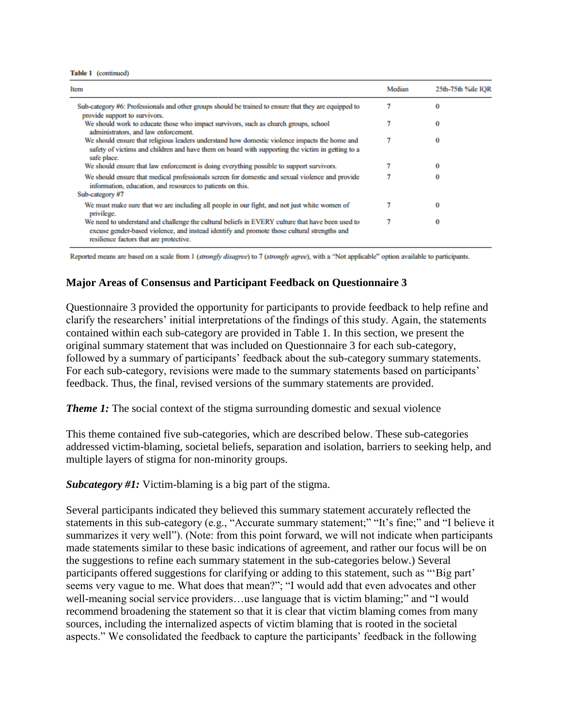Table 1 (continued)

| Item                                                                                                                                                                                                                                       | Median | 25th-75th %ile IQR |
|--------------------------------------------------------------------------------------------------------------------------------------------------------------------------------------------------------------------------------------------|--------|--------------------|
| Sub-category #6: Professionals and other groups should be trained to ensure that they are equipped to<br>provide support to survivors.                                                                                                     |        | o                  |
| We should work to educate those who impact survivors, such as church groups, school<br>administrators, and law enforcement.                                                                                                                |        | 0                  |
| We should ensure that religious leaders understand how domestic violence impacts the home and<br>safety of victims and children and have them on board with supporting the victim in getting to a<br>safe place.                           |        |                    |
| We should ensure that law enforcement is doing everything possible to support survivors.                                                                                                                                                   |        | 0                  |
| We should ensure that medical professionals screen for domestic and sexual violence and provide<br>information, education, and resources to patients on this.<br>Sub-category #7                                                           |        | 0                  |
| We must make sure that we are including all people in our fight, and not just white women of<br>privilege.                                                                                                                                 |        | 0                  |
| We need to understand and challenge the cultural beliefs in EVERY culture that have been used to<br>excuse gender-based violence, and instead identify and promote those cultural strengths and<br>resilience factors that are protective. |        | 0                  |

Reported means are based on a scale from 1 (strongly disagree) to 7 (strongly agree), with a "Not applicable" option available to participants.

### **Major Areas of Consensus and Participant Feedback on Questionnaire 3**

Questionnaire 3 provided the opportunity for participants to provide feedback to help refine and clarify the researchers' initial interpretations of the findings of this study. Again, the statements contained within each sub-category are provided in Table 1. In this section, we present the original summary statement that was included on Questionnaire 3 for each sub-category, followed by a summary of participants' feedback about the sub-category summary statements. For each sub-category, revisions were made to the summary statements based on participants' feedback. Thus, the final, revised versions of the summary statements are provided.

*Theme 1:* The social context of the stigma surrounding domestic and sexual violence

This theme contained five sub-categories, which are described below. These sub-categories addressed victim-blaming, societal beliefs, separation and isolation, barriers to seeking help, and multiple layers of stigma for non-minority groups.

*Subcategory #1:* Victim-blaming is a big part of the stigma.

Several participants indicated they believed this summary statement accurately reflected the statements in this sub-category (e.g., "Accurate summary statement;" "It's fine;" and "I believe it summarizes it very well"). (Note: from this point forward, we will not indicate when participants made statements similar to these basic indications of agreement, and rather our focus will be on the suggestions to refine each summary statement in the sub-categories below.) Several participants offered suggestions for clarifying or adding to this statement, such as "'Big part' seems very vague to me. What does that mean?"; "I would add that even advocates and other well-meaning social service providers…use language that is victim blaming;" and "I would recommend broadening the statement so that it is clear that victim blaming comes from many sources, including the internalized aspects of victim blaming that is rooted in the societal aspects." We consolidated the feedback to capture the participants' feedback in the following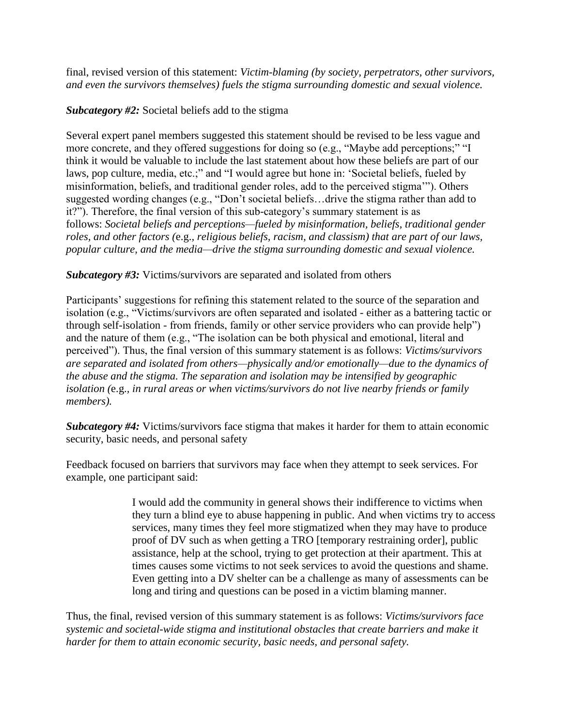final, revised version of this statement: *Victim-blaming (by society, perpetrators, other survivors, and even the survivors themselves) fuels the stigma surrounding domestic and sexual violence.*

## *Subcategory #2:* Societal beliefs add to the stigma

Several expert panel members suggested this statement should be revised to be less vague and more concrete, and they offered suggestions for doing so (e.g., "Maybe add perceptions;" "I think it would be valuable to include the last statement about how these beliefs are part of our laws, pop culture, media, etc.;" and "I would agree but hone in: 'Societal beliefs, fueled by misinformation, beliefs, and traditional gender roles, add to the perceived stigma'"). Others suggested wording changes (e.g., "Don't societal beliefs…drive the stigma rather than add to it?"). Therefore, the final version of this sub-category's summary statement is as follows: *Societal beliefs and perceptions—fueled by misinformation, beliefs, traditional gender roles, and other factors (*e.g.*, religious beliefs, racism, and classism) that are part of our laws, popular culture, and the media—drive the stigma surrounding domestic and sexual violence.*

## *Subcategory #3:* Victims/survivors are separated and isolated from others

Participants' suggestions for refining this statement related to the source of the separation and isolation (e.g., "Victims/survivors are often separated and isolated - either as a battering tactic or through self-isolation - from friends, family or other service providers who can provide help") and the nature of them (e.g., "The isolation can be both physical and emotional, literal and perceived"). Thus, the final version of this summary statement is as follows: *Victims/survivors are separated and isolated from others—physically and/or emotionally—due to the dynamics of the abuse and the stigma. The separation and isolation may be intensified by geographic isolation (*e.g.*, in rural areas or when victims/survivors do not live nearby friends or family members).*

*Subcategory #4:* Victims/survivors face stigma that makes it harder for them to attain economic security, basic needs, and personal safety

Feedback focused on barriers that survivors may face when they attempt to seek services. For example, one participant said:

> I would add the community in general shows their indifference to victims when they turn a blind eye to abuse happening in public. And when victims try to access services, many times they feel more stigmatized when they may have to produce proof of DV such as when getting a TRO [temporary restraining order], public assistance, help at the school, trying to get protection at their apartment. This at times causes some victims to not seek services to avoid the questions and shame. Even getting into a DV shelter can be a challenge as many of assessments can be long and tiring and questions can be posed in a victim blaming manner.

Thus, the final, revised version of this summary statement is as follows: *Victims/survivors face systemic and societal-wide stigma and institutional obstacles that create barriers and make it harder for them to attain economic security, basic needs, and personal safety.*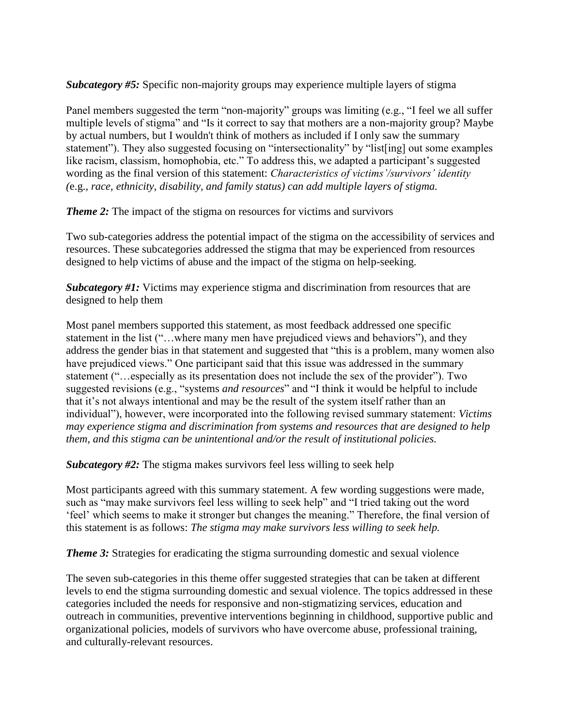*Subcategory #5:* Specific non-majority groups may experience multiple layers of stigma

Panel members suggested the term "non-majority" groups was limiting (e.g., "I feel we all suffer multiple levels of stigma" and "Is it correct to say that mothers are a non-majority group? Maybe by actual numbers, but I wouldn't think of mothers as included if I only saw the summary statement"). They also suggested focusing on "intersectionality" by "list[ing] out some examples like racism, classism, homophobia, etc." To address this, we adapted a participant's suggested wording as the final version of this statement: *Characteristics of victims'/survivors' identity (*e.g.*, race, ethnicity, disability, and family status) can add multiple layers of stigma.*

*Theme 2:* The impact of the stigma on resources for victims and survivors

Two sub-categories address the potential impact of the stigma on the accessibility of services and resources. These subcategories addressed the stigma that may be experienced from resources designed to help victims of abuse and the impact of the stigma on help-seeking.

*Subcategory #1:* Victims may experience stigma and discrimination from resources that are designed to help them

Most panel members supported this statement, as most feedback addressed one specific statement in the list ("…where many men have prejudiced views and behaviors"), and they address the gender bias in that statement and suggested that "this is a problem, many women also have prejudiced views." One participant said that this issue was addressed in the summary statement ("…especially as its presentation does not include the sex of the provider"). Two suggested revisions (e.g., "systems *and resources*" and "I think it would be helpful to include that it's not always intentional and may be the result of the system itself rather than an individual"), however, were incorporated into the following revised summary statement: *Victims may experience stigma and discrimination from systems and resources that are designed to help them, and this stigma can be unintentional and/or the result of institutional policies.*

*Subcategory #2:* The stigma makes survivors feel less willing to seek help

Most participants agreed with this summary statement. A few wording suggestions were made, such as "may make survivors feel less willing to seek help" and "I tried taking out the word 'feel' which seems to make it stronger but changes the meaning." Therefore, the final version of this statement is as follows: *The stigma may make survivors less willing to seek help.*

*Theme 3:* Strategies for eradicating the stigma surrounding domestic and sexual violence

The seven sub-categories in this theme offer suggested strategies that can be taken at different levels to end the stigma surrounding domestic and sexual violence. The topics addressed in these categories included the needs for responsive and non-stigmatizing services, education and outreach in communities, preventive interventions beginning in childhood, supportive public and organizational policies, models of survivors who have overcome abuse, professional training, and culturally-relevant resources.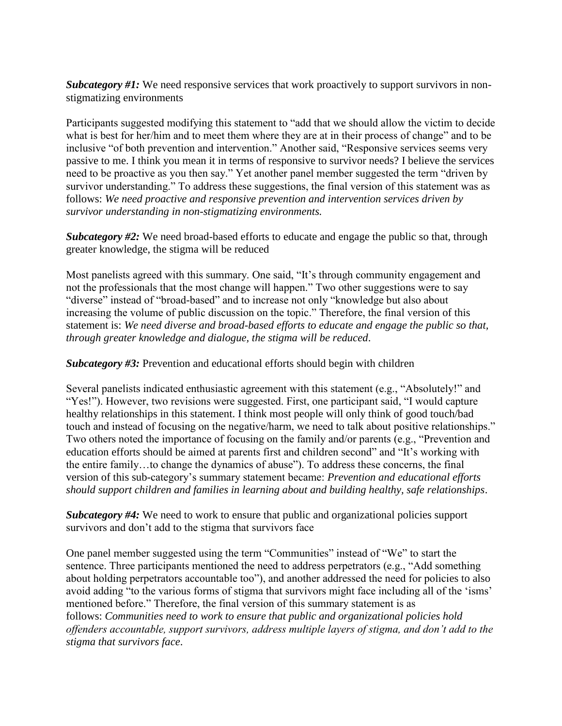*Subcategory #1:* We need responsive services that work proactively to support survivors in nonstigmatizing environments

Participants suggested modifying this statement to "add that we should allow the victim to decide what is best for her/him and to meet them where they are at in their process of change" and to be inclusive "of both prevention and intervention." Another said, "Responsive services seems very passive to me. I think you mean it in terms of responsive to survivor needs? I believe the services need to be proactive as you then say." Yet another panel member suggested the term "driven by survivor understanding." To address these suggestions, the final version of this statement was as follows: *We need proactive and responsive prevention and intervention services driven by survivor understanding in non-stigmatizing environments.*

*Subcategory #2:* We need broad-based efforts to educate and engage the public so that, through greater knowledge, the stigma will be reduced

Most panelists agreed with this summary. One said, "It's through community engagement and not the professionals that the most change will happen." Two other suggestions were to say "diverse" instead of "broad-based" and to increase not only "knowledge but also about increasing the volume of public discussion on the topic." Therefore, the final version of this statement is: *We need diverse and broad-based efforts to educate and engage the public so that, through greater knowledge and dialogue, the stigma will be reduced*.

*Subcategory #3:* Prevention and educational efforts should begin with children

Several panelists indicated enthusiastic agreement with this statement (e.g., "Absolutely!" and "Yes!"). However, two revisions were suggested. First, one participant said, "I would capture healthy relationships in this statement. I think most people will only think of good touch/bad touch and instead of focusing on the negative/harm, we need to talk about positive relationships." Two others noted the importance of focusing on the family and/or parents (e.g., "Prevention and education efforts should be aimed at parents first and children second" and "It's working with the entire family…to change the dynamics of abuse"). To address these concerns, the final version of this sub-category's summary statement became: *Prevention and educational efforts should support children and families in learning about and building healthy, safe relationships*.

*Subcategory #4:* We need to work to ensure that public and organizational policies support survivors and don't add to the stigma that survivors face

One panel member suggested using the term "Communities" instead of "We" to start the sentence. Three participants mentioned the need to address perpetrators (e.g., "Add something about holding perpetrators accountable too"), and another addressed the need for policies to also avoid adding "to the various forms of stigma that survivors might face including all of the 'isms' mentioned before." Therefore, the final version of this summary statement is as follows: *Communities need to work to ensure that public and organizational policies hold offenders accountable, support survivors, address multiple layers of stigma, and don't add to the stigma that survivors face*.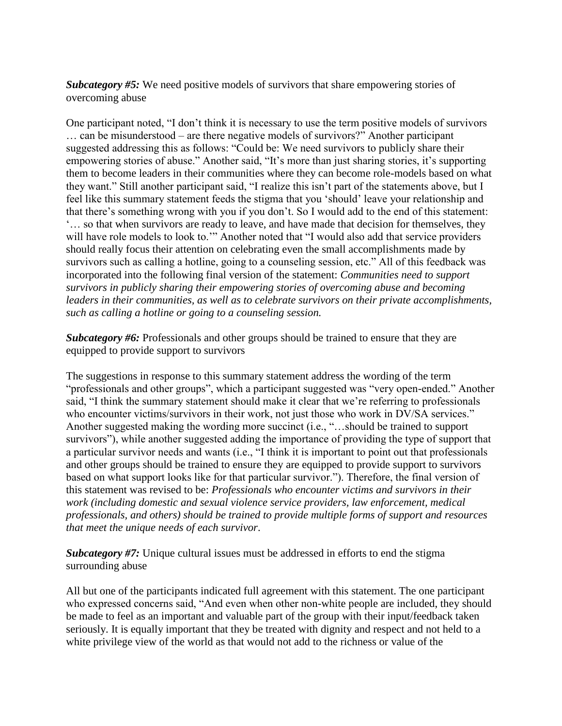*Subcategory #5:* We need positive models of survivors that share empowering stories of overcoming abuse

One participant noted, "I don't think it is necessary to use the term positive models of survivors … can be misunderstood – are there negative models of survivors?" Another participant suggested addressing this as follows: "Could be: We need survivors to publicly share their empowering stories of abuse." Another said, "It's more than just sharing stories, it's supporting them to become leaders in their communities where they can become role-models based on what they want." Still another participant said, "I realize this isn't part of the statements above, but I feel like this summary statement feeds the stigma that you 'should' leave your relationship and that there's something wrong with you if you don't. So I would add to the end of this statement: '… so that when survivors are ready to leave, and have made that decision for themselves, they will have role models to look to." Another noted that "I would also add that service providers should really focus their attention on celebrating even the small accomplishments made by survivors such as calling a hotline, going to a counseling session, etc." All of this feedback was incorporated into the following final version of the statement: *Communities need to support survivors in publicly sharing their empowering stories of overcoming abuse and becoming leaders in their communities, as well as to celebrate survivors on their private accomplishments, such as calling a hotline or going to a counseling session.*

*Subcategory #6:* Professionals and other groups should be trained to ensure that they are equipped to provide support to survivors

The suggestions in response to this summary statement address the wording of the term "professionals and other groups", which a participant suggested was "very open-ended." Another said, "I think the summary statement should make it clear that we're referring to professionals who encounter victims/survivors in their work, not just those who work in DV/SA services." Another suggested making the wording more succinct (i.e., "…should be trained to support survivors"), while another suggested adding the importance of providing the type of support that a particular survivor needs and wants (i.e., "I think it is important to point out that professionals and other groups should be trained to ensure they are equipped to provide support to survivors based on what support looks like for that particular survivor."). Therefore, the final version of this statement was revised to be: *Professionals who encounter victims and survivors in their work (including domestic and sexual violence service providers, law enforcement, medical professionals, and others) should be trained to provide multiple forms of support and resources that meet the unique needs of each survivor*.

*Subcategory #7:* Unique cultural issues must be addressed in efforts to end the stigma surrounding abuse

All but one of the participants indicated full agreement with this statement. The one participant who expressed concerns said, "And even when other non-white people are included, they should be made to feel as an important and valuable part of the group with their input/feedback taken seriously. It is equally important that they be treated with dignity and respect and not held to a white privilege view of the world as that would not add to the richness or value of the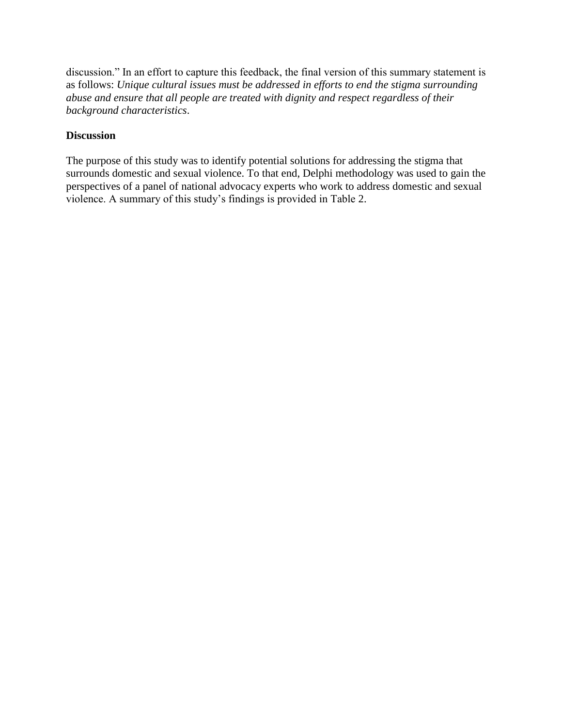discussion." In an effort to capture this feedback, the final version of this summary statement is as follows: *Unique cultural issues must be addressed in efforts to end the stigma surrounding abuse and ensure that all people are treated with dignity and respect regardless of their background characteristics*.

## **Discussion**

The purpose of this study was to identify potential solutions for addressing the stigma that surrounds domestic and sexual violence. To that end, Delphi methodology was used to gain the perspectives of a panel of national advocacy experts who work to address domestic and sexual violence. A summary of this study's findings is provided in Table 2.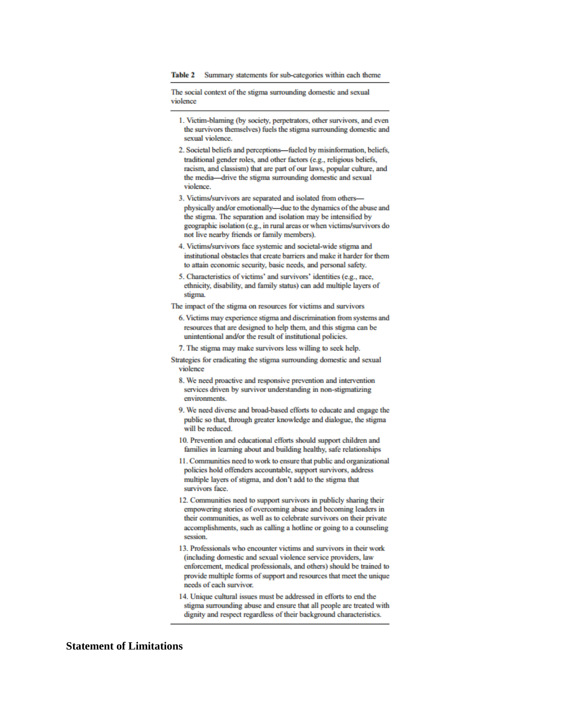**Table 2** Summary statements for sub-categories within each theme

The social context of the stigma surrounding domestic and sexual violence

- 1. Victim-blaming (by society, perpetrators, other survivors, and even the survivors themselves) fuels the stigma surrounding domestic and sexual violence.
- 2. Societal beliefs and perceptions-fueled by misinformation, beliefs, traditional gender roles, and other factors (e.g., religious beliefs, racism, and classism) that are part of our laws, popular culture, and the media-drive the stigma surrounding domestic and sexual violence.
- 3. Victims/survivors are separated and isolated from othersphysically and/or emotionally-due to the dynamics of the abuse and the stigma. The separation and isolation may be intensified by geographic isolation (e.g., in rural areas or when victims/survivors do not live nearby friends or family members).
- 4. Victims/survivors face systemic and societal-wide stigma and institutional obstacles that create barriers and make it harder for them to attain economic security, basic needs, and personal safety.
- 5. Characteristics of victims' and survivors' identities (e.g., race, ethnicity, disability, and family status) can add multiple layers of stigma.
- The impact of the stigma on resources for victims and survivors
	- 6. Victims may experience stigma and discrimination from systems and resources that are designed to help them, and this stigma can be unintentional and/or the result of institutional policies.
	- 7. The stigma may make survivors less willing to seek help.
- Strategies for eradicating the stigma surrounding domestic and sexual violence
	- 8. We need proactive and responsive prevention and intervention services driven by survivor understanding in non-stigmatizing environments.
	- 9. We need diverse and broad-based efforts to educate and engage the public so that, through greater knowledge and dialogue, the stigma will be reduced.
	- 10. Prevention and educational efforts should support children and families in learning about and building healthy, safe relationships
	- 11. Communities need to work to ensure that public and organizational policies hold offenders accountable, support survivors, address multiple layers of stigma, and don't add to the stigma that survivors face.
	- 12. Communities need to support survivors in publicly sharing their empowering stories of overcoming abuse and becoming leaders in their communities, as well as to celebrate survivors on their private accomplishments, such as calling a hotline or going to a counseling session.
	- 13. Professionals who encounter victims and survivors in their work (including domestic and sexual violence service providers, law enforcement, medical professionals, and others) should be trained to provide multiple forms of support and resources that meet the unique needs of each survivor.
	- 14. Unique cultural issues must be addressed in efforts to end the stigma surrounding abuse and ensure that all people are treated with dignity and respect regardless of their background characteristics.

#### **Statement of Limitations**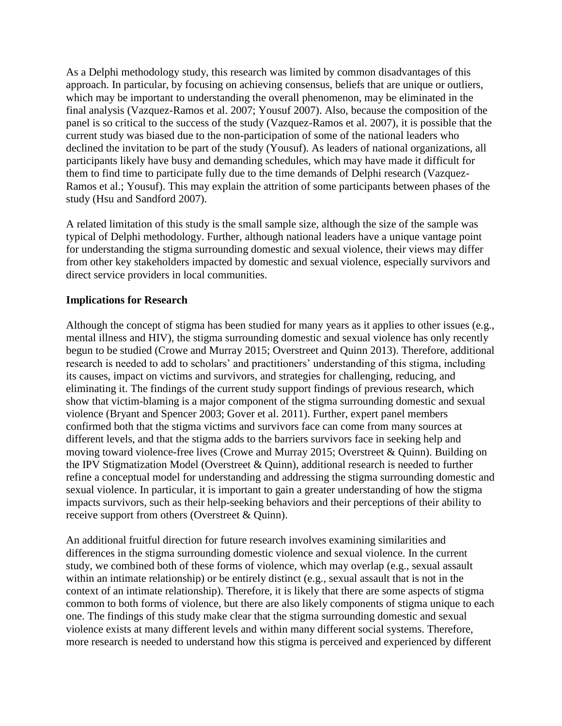As a Delphi methodology study, this research was limited by common disadvantages of this approach. In particular, by focusing on achieving consensus, beliefs that are unique or outliers, which may be important to understanding the overall phenomenon, may be eliminated in the final analysis (Vazquez-Ramos et al. 2007; Yousuf 2007). Also, because the composition of the panel is so critical to the success of the study (Vazquez-Ramos et al. 2007), it is possible that the current study was biased due to the non-participation of some of the national leaders who declined the invitation to be part of the study (Yousuf). As leaders of national organizations, all participants likely have busy and demanding schedules, which may have made it difficult for them to find time to participate fully due to the time demands of Delphi research (Vazquez-Ramos et al.; Yousuf). This may explain the attrition of some participants between phases of the study (Hsu and Sandford 2007).

A related limitation of this study is the small sample size, although the size of the sample was typical of Delphi methodology. Further, although national leaders have a unique vantage point for understanding the stigma surrounding domestic and sexual violence, their views may differ from other key stakeholders impacted by domestic and sexual violence, especially survivors and direct service providers in local communities.

## **Implications for Research**

Although the concept of stigma has been studied for many years as it applies to other issues (e.g., mental illness and HIV), the stigma surrounding domestic and sexual violence has only recently begun to be studied (Crowe and Murray 2015; Overstreet and Quinn 2013). Therefore, additional research is needed to add to scholars' and practitioners' understanding of this stigma, including its causes, impact on victims and survivors, and strategies for challenging, reducing, and eliminating it. The findings of the current study support findings of previous research, which show that victim-blaming is a major component of the stigma surrounding domestic and sexual violence (Bryant and Spencer 2003; Gover et al. 2011). Further, expert panel members confirmed both that the stigma victims and survivors face can come from many sources at different levels, and that the stigma adds to the barriers survivors face in seeking help and moving toward violence-free lives (Crowe and Murray 2015; Overstreet & Quinn). Building on the IPV Stigmatization Model (Overstreet & Quinn), additional research is needed to further refine a conceptual model for understanding and addressing the stigma surrounding domestic and sexual violence. In particular, it is important to gain a greater understanding of how the stigma impacts survivors, such as their help-seeking behaviors and their perceptions of their ability to receive support from others (Overstreet & Quinn).

An additional fruitful direction for future research involves examining similarities and differences in the stigma surrounding domestic violence and sexual violence. In the current study, we combined both of these forms of violence, which may overlap (e.g., sexual assault within an intimate relationship) or be entirely distinct (e.g., sexual assault that is not in the context of an intimate relationship). Therefore, it is likely that there are some aspects of stigma common to both forms of violence, but there are also likely components of stigma unique to each one. The findings of this study make clear that the stigma surrounding domestic and sexual violence exists at many different levels and within many different social systems. Therefore, more research is needed to understand how this stigma is perceived and experienced by different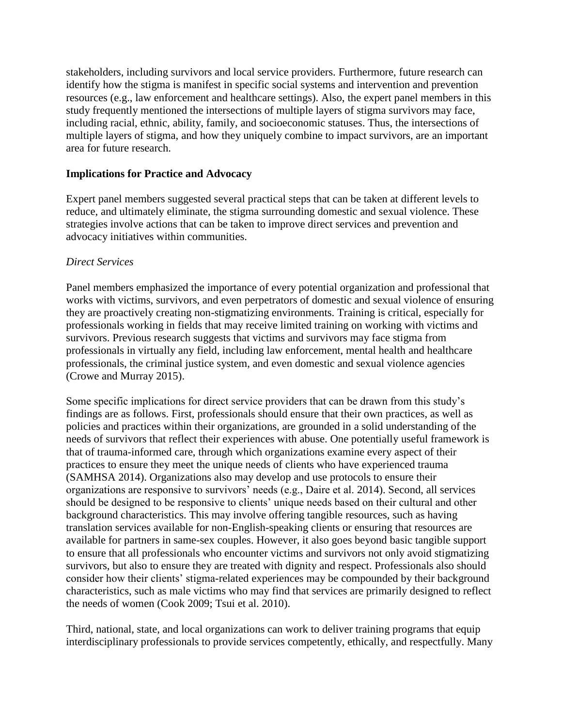stakeholders, including survivors and local service providers. Furthermore, future research can identify how the stigma is manifest in specific social systems and intervention and prevention resources (e.g., law enforcement and healthcare settings). Also, the expert panel members in this study frequently mentioned the intersections of multiple layers of stigma survivors may face, including racial, ethnic, ability, family, and socioeconomic statuses. Thus, the intersections of multiple layers of stigma, and how they uniquely combine to impact survivors, are an important area for future research.

## **Implications for Practice and Advocacy**

Expert panel members suggested several practical steps that can be taken at different levels to reduce, and ultimately eliminate, the stigma surrounding domestic and sexual violence. These strategies involve actions that can be taken to improve direct services and prevention and advocacy initiatives within communities.

## *Direct Services*

Panel members emphasized the importance of every potential organization and professional that works with victims, survivors, and even perpetrators of domestic and sexual violence of ensuring they are proactively creating non-stigmatizing environments. Training is critical, especially for professionals working in fields that may receive limited training on working with victims and survivors. Previous research suggests that victims and survivors may face stigma from professionals in virtually any field, including law enforcement, mental health and healthcare professionals, the criminal justice system, and even domestic and sexual violence agencies (Crowe and Murray 2015).

Some specific implications for direct service providers that can be drawn from this study's findings are as follows. First, professionals should ensure that their own practices, as well as policies and practices within their organizations, are grounded in a solid understanding of the needs of survivors that reflect their experiences with abuse. One potentially useful framework is that of trauma-informed care, through which organizations examine every aspect of their practices to ensure they meet the unique needs of clients who have experienced trauma (SAMHSA 2014). Organizations also may develop and use protocols to ensure their organizations are responsive to survivors' needs (e.g., Daire et al. 2014). Second, all services should be designed to be responsive to clients' unique needs based on their cultural and other background characteristics. This may involve offering tangible resources, such as having translation services available for non-English-speaking clients or ensuring that resources are available for partners in same-sex couples. However, it also goes beyond basic tangible support to ensure that all professionals who encounter victims and survivors not only avoid stigmatizing survivors, but also to ensure they are treated with dignity and respect. Professionals also should consider how their clients' stigma-related experiences may be compounded by their background characteristics, such as male victims who may find that services are primarily designed to reflect the needs of women (Cook 2009; Tsui et al. 2010).

Third, national, state, and local organizations can work to deliver training programs that equip interdisciplinary professionals to provide services competently, ethically, and respectfully. Many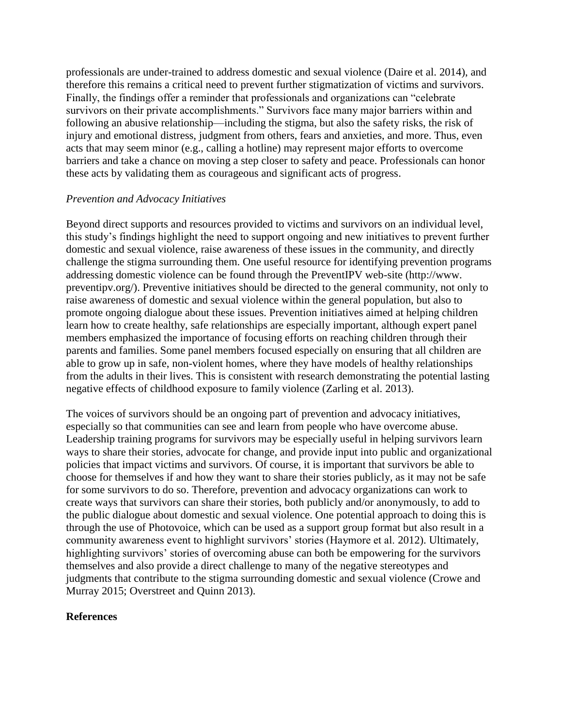professionals are under-trained to address domestic and sexual violence (Daire et al. 2014), and therefore this remains a critical need to prevent further stigmatization of victims and survivors. Finally, the findings offer a reminder that professionals and organizations can "celebrate survivors on their private accomplishments." Survivors face many major barriers within and following an abusive relationship—including the stigma, but also the safety risks, the risk of injury and emotional distress, judgment from others, fears and anxieties, and more. Thus, even acts that may seem minor (e.g., calling a hotline) may represent major efforts to overcome barriers and take a chance on moving a step closer to safety and peace. Professionals can honor these acts by validating them as courageous and significant acts of progress.

### *Prevention and Advocacy Initiatives*

Beyond direct supports and resources provided to victims and survivors on an individual level, this study's findings highlight the need to support ongoing and new initiatives to prevent further domestic and sexual violence, raise awareness of these issues in the community, and directly challenge the stigma surrounding them. One useful resource for identifying prevention programs addressing domestic violence can be found through the PreventIPV web-site (http://www. preventipv.org/). Preventive initiatives should be directed to the general community, not only to raise awareness of domestic and sexual violence within the general population, but also to promote ongoing dialogue about these issues. Prevention initiatives aimed at helping children learn how to create healthy, safe relationships are especially important, although expert panel members emphasized the importance of focusing efforts on reaching children through their parents and families. Some panel members focused especially on ensuring that all children are able to grow up in safe, non-violent homes, where they have models of healthy relationships from the adults in their lives. This is consistent with research demonstrating the potential lasting negative effects of childhood exposure to family violence (Zarling et al. 2013).

The voices of survivors should be an ongoing part of prevention and advocacy initiatives, especially so that communities can see and learn from people who have overcome abuse. Leadership training programs for survivors may be especially useful in helping survivors learn ways to share their stories, advocate for change, and provide input into public and organizational policies that impact victims and survivors. Of course, it is important that survivors be able to choose for themselves if and how they want to share their stories publicly, as it may not be safe for some survivors to do so. Therefore, prevention and advocacy organizations can work to create ways that survivors can share their stories, both publicly and/or anonymously, to add to the public dialogue about domestic and sexual violence. One potential approach to doing this is through the use of Photovoice, which can be used as a support group format but also result in a community awareness event to highlight survivors' stories (Haymore et al. 2012). Ultimately, highlighting survivors' stories of overcoming abuse can both be empowering for the survivors themselves and also provide a direct challenge to many of the negative stereotypes and judgments that contribute to the stigma surrounding domestic and sexual violence (Crowe and Murray 2015; Overstreet and Quinn 2013).

#### **References**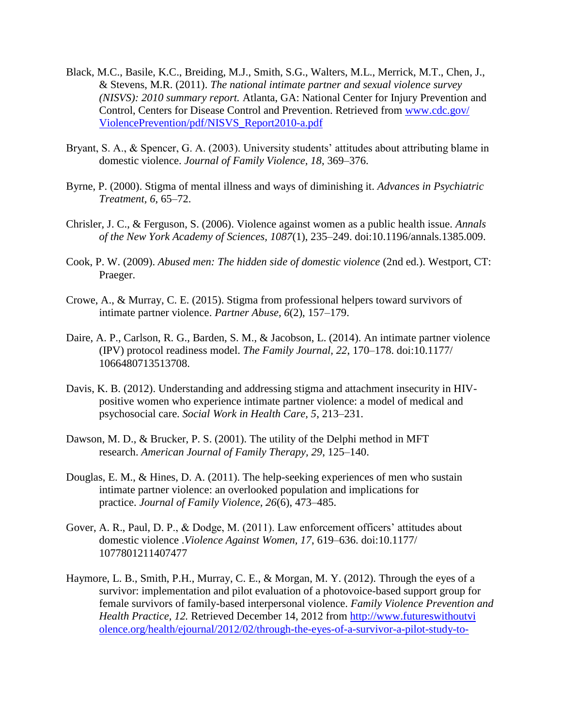- Black, M.C., Basile, K.C., Breiding, M.J., Smith, S.G., Walters, M.L., Merrick, M.T., Chen, J., & Stevens, M.R. (2011). *The national intimate partner and sexual violence survey (NISVS): 2010 summary report.* Atlanta, GA: National Center for Injury Prevention and Control, Centers for Disease Control and Prevention. Retrieved from [www.cdc.gov/](http://www.cdc.gov/ViolencePrevention/pdf/NISVS_Report2010-a.pdf) [ViolencePrevention/pdf/NISVS\\_Report2010-a.pdf](http://www.cdc.gov/ViolencePrevention/pdf/NISVS_Report2010-a.pdf)
- Bryant, S. A., & Spencer, G. A. (2003). University students' attitudes about attributing blame in domestic violence. *Journal of Family Violence, 18*, 369–376.
- Byrne, P. (2000). Stigma of mental illness and ways of diminishing it. *Advances in Psychiatric Treatment, 6*, 65–72.
- Chrisler, J. C., & Ferguson, S. (2006). Violence against women as a public health issue. *Annals of the New York Academy of Sciences, 1087*(1), 235–249. doi:10.1196/annals.1385.009.
- Cook, P. W. (2009). *Abused men: The hidden side of domestic violence* (2nd ed.). Westport, CT: Praeger.
- Crowe, A., & Murray, C. E. (2015). Stigma from professional helpers toward survivors of intimate partner violence. *Partner Abuse, 6*(2), 157–179.
- Daire, A. P., Carlson, R. G., Barden, S. M., & Jacobson, L. (2014). An intimate partner violence (IPV) protocol readiness model. *The Family Journal, 22*, 170–178. doi:10.1177/ 1066480713513708.
- Davis, K. B. (2012). Understanding and addressing stigma and attachment insecurity in HIVpositive women who experience intimate partner violence: a model of medical and psychosocial care. *Social Work in Health Care, 5*, 213–231.
- Dawson, M. D., & Brucker, P. S. (2001). The utility of the Delphi method in MFT research. *American Journal of Family Therapy, 29*, 125–140.
- Douglas, E. M., & Hines, D. A. (2011). The help-seeking experiences of men who sustain intimate partner violence: an overlooked population and implications for practice. *Journal of Family Violence, 26*(6), 473–485.
- Gover, A. R., Paul, D. P., & Dodge, M. (2011). Law enforcement officers' attitudes about domestic violence .*Violence Against Women, 17*, 619–636. doi:10.1177/ 1077801211407477
- Haymore, L. B., Smith, P.H., Murray, C. E., & Morgan, M. Y. (2012). Through the eyes of a survivor: implementation and pilot evaluation of a photovoice-based support group for female survivors of family-based interpersonal violence. *Family Violence Prevention and Health Practice, 12.* Retrieved December 14, 2012 from [http://www.futureswithoutvi](http://www.futureswithoutviolence.org/health/ejournal/2012/02/through-the-eyes-of-a-survivor-a-pilot-study-to-examine-the-use-of-a-photovoice-based-support-group-for-women-survivors-of-family-based-interpersonal-violence/) [olence.org/health/ejournal/2012/02/through-the-eyes-of-a-survivor-a-pilot-study-to-](http://www.futureswithoutviolence.org/health/ejournal/2012/02/through-the-eyes-of-a-survivor-a-pilot-study-to-examine-the-use-of-a-photovoice-based-support-group-for-women-survivors-of-family-based-interpersonal-violence/)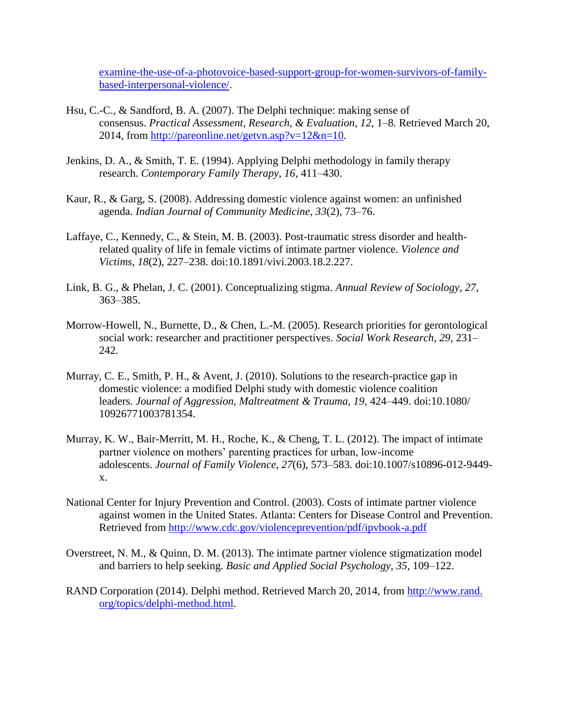[examine-the-use-of-a-photovoice-based-support-group-for-women-survivors-of-family](http://www.futureswithoutviolence.org/health/ejournal/2012/02/through-the-eyes-of-a-survivor-a-pilot-study-to-examine-the-use-of-a-photovoice-based-support-group-for-women-survivors-of-family-based-interpersonal-violence/)[based-interpersonal-violence/.](http://www.futureswithoutviolence.org/health/ejournal/2012/02/through-the-eyes-of-a-survivor-a-pilot-study-to-examine-the-use-of-a-photovoice-based-support-group-for-women-survivors-of-family-based-interpersonal-violence/)

- Hsu, C.-C., & Sandford, B. A. (2007). The Delphi technique: making sense of consensus. *Practical Assessment, Research, & Evaluation, 12,* 1*–*8. Retrieved March 20, 2014, from http://pareonline.net/getvn.asp?v= $12&n=10$ .
- Jenkins, D. A., & Smith, T. E. (1994). Applying Delphi methodology in family therapy research. *Contemporary Family Therapy, 16*, 411–430.
- Kaur, R., & Garg, S. (2008). Addressing domestic violence against women: an unfinished agenda. *Indian Journal of Community Medicine, 33*(2), 73–76.
- Laffaye, C., Kennedy, C., & Stein, M. B. (2003). Post-traumatic stress disorder and healthrelated quality of life in female victims of intimate partner violence. *Violence and Victims, 18*(2), 227–238. doi:10.1891/vivi.2003.18.2.227.
- Link, B. G., & Phelan, J. C. (2001). Conceptualizing stigma. *Annual Review of Sociology, 27*, 363–385.
- Morrow-Howell, N., Burnette, D., & Chen, L.-M. (2005). Research priorities for gerontological social work: researcher and practitioner perspectives. *Social Work Research, 29*, 231– 242.
- Murray, C. E., Smith, P. H., & Avent, J. (2010). Solutions to the research-practice gap in domestic violence: a modified Delphi study with domestic violence coalition leaders. *Journal of Aggression, Maltreatment & Trauma, 19*, 424–449. doi:10.1080/ 10926771003781354.
- Murray, K. W., Bair-Merritt, M. H., Roche, K., & Cheng, T. L. (2012). The impact of intimate partner violence on mothers' parenting practices for urban, low-income adolescents. *Journal of Family Violence, 27*(6), 573–583. doi:10.1007/s10896-012-9449 x.
- National Center for Injury Prevention and Control. (2003). Costs of intimate partner violence against women in the United States. Atlanta: Centers for Disease Control and Prevention. Retrieved from <http://www.cdc.gov/violenceprevention/pdf/ipvbook-a.pdf>
- Overstreet, N. M., & Quinn, D. M. (2013). The intimate partner violence stigmatization model and barriers to help seeking. *Basic and Applied Social Psychology, 35*, 109–122.
- RAND Corporation (2014). Delphi method. Retrieved March 20, 2014, from [http://www.rand.](http://www.rand.org/topics/delphi-method.html) [org/topics/delphi-method.html.](http://www.rand.org/topics/delphi-method.html)